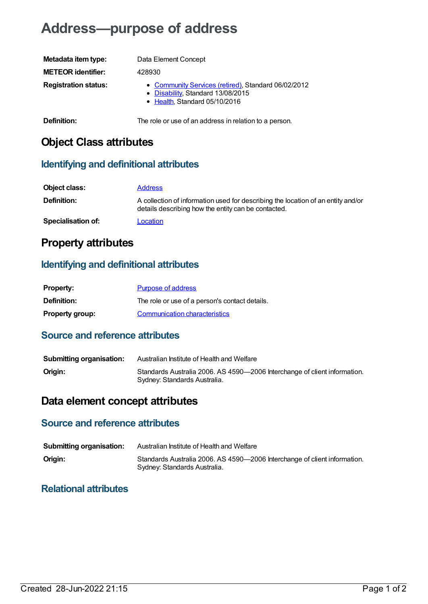# **Address—purpose of address**

| Metadata item type:         | Data Element Concept                                                                                                      |
|-----------------------------|---------------------------------------------------------------------------------------------------------------------------|
| <b>METEOR identifier:</b>   | 428930                                                                                                                    |
| <b>Registration status:</b> | • Community Services (retired), Standard 06/02/2012<br>• Disability, Standard 13/08/2015<br>• Health, Standard 05/10/2016 |
| Definition:                 | The role or use of an address in relation to a person.                                                                    |

### **Object Class attributes**

#### **Identifying and definitional attributes**

| Object class:             | <b>Address</b>                                                                                                                          |
|---------------------------|-----------------------------------------------------------------------------------------------------------------------------------------|
| Definition:               | A collection of information used for describing the location of an entity and/or<br>details describing how the entity can be contacted. |
| <b>Specialisation of:</b> | Location                                                                                                                                |

### **Property attributes**

#### **Identifying and definitional attributes**

| <b>Property:</b>       | <b>Purpose of address</b>                      |
|------------------------|------------------------------------------------|
| <b>Definition:</b>     | The role or use of a person's contact details. |
| <b>Property group:</b> | Communication characteristics                  |

#### **Source and reference attributes**

| <b>Submitting organisation:</b> | Australian Institute of Health and Welfare                                                                |
|---------------------------------|-----------------------------------------------------------------------------------------------------------|
| Origin:                         | Standards Australia 2006. AS 4590-2006 Interchange of client information.<br>Sydney: Standards Australia. |

## **Data element concept attributes**

### **Source and reference attributes**

| <b>Submitting organisation:</b> | Australian Institute of Health and Welfare                                                                |
|---------------------------------|-----------------------------------------------------------------------------------------------------------|
| Origin:                         | Standards Australia 2006. AS 4590-2006 Interchange of client information.<br>Sydney: Standards Australia. |

#### **Relational attributes**